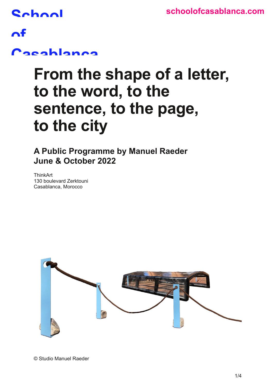## **School**

### $\mathbf{A}$ f

### **Casablanca**

## **From the shape of a letter, to the word, to the sentence, to the page, to the city**

**A Public Programme by Manuel Raeder June & October 2022** 

**ThinkArt** 130 boulevard Zerktouni Casablanca, Morocco



© Studio Manuel Raeder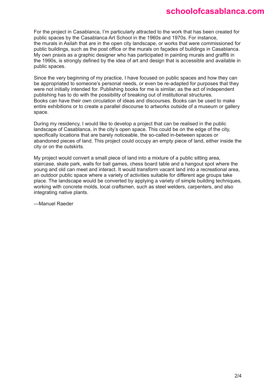#### **[schoolofcasablanca.com](http://schoolofcasablanca.com)**

For the project in Casablanca, I'm particularly attracted to the work that has been created for public spaces by the Casablanca Art School in the 1960s and 1970s. For instance, the murals in Asilah that are in the open city landscape, or works that were commissioned for public buildings, such as the post office or the murals on façades of buildings in Casablanca. My own praxis as a graphic designer who has participated in painting murals and graffiti in the 1990s, is strongly defined by the idea of art and design that is accessible and available in public spaces.

Since the very beginning of my practice, I have focused on public spaces and how they can be appropriated to someone's personal needs, or even be re-adapted for purposes that they were not initially intended for. Publishing books for me is similar, as the act of independent publishing has to do with the possibility of breaking out of institutional structures. Books can have their own circulation of ideas and discourses. Books can be used to make entire exhibitions or to create a parallel discourse to artworks outside of a museum or gallery space.

During my residency, I would like to develop a project that can be realised in the public landscape of Casablanca, in the city's open space. This could be on the edge of the city, specifically locations that are barely noticeable, the so-called in-between spaces or abandoned pieces of land. This project could occupy an empty piece of land, either inside the city or on the outskirts.

My project would convert a small piece of land into a mixture of a public sitting area, staircase, skate park, walls for ball games, chess board table and a hangout spot where the young and old can meet and interact. It would transform vacant land into a recreational area, an outdoor public space where a variety of activities suitable for different age groups take place. The landscape would be converted by applying a variety of simple building techniques, working with concrete molds, local craftsmen, such as steel welders, carpenters, and also integrating native plants.

—Manuel Raeder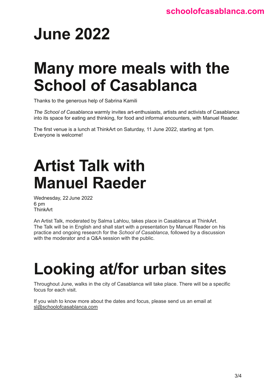# **June 2022**

## **Many more meals with the School of Casablanca**

Thanks to the generous help of Sabrina Kamili

*The School of Casablanca* warmly invites art-enthusiasts, artists and activists of Casablanca into its space for eating and thinking, for food and informal encounters, with Manuel Reader.

The first venue is a lunch at ThinkArt on Saturday, 11 June 2022, starting at 1pm. Everyone is welcome!

# **Artist Talk with Manuel Raeder**

Wednesday, 22 June 2022 6 pm **ThinkArt** 

An Artist Talk, moderated by Salma Lahlou, takes place in Casablanca at ThinkArt. The Talk will be in English and shall start with a presentation by Manuel Reader on his practice and ongoing research for the *School of Casablanca*, followed by a discussion with the moderator and a Q&A session with the public.

# **Looking at/for urban sites**

Throughout June, walks in the city of Casablanca will take place. There will be a specific focus for each visit.

If you wish to know more about the dates and focus, please send us an email at [sl@schoolofcasablanca.com](mailto:sl%40schoolofcasablanca.com?subject=)